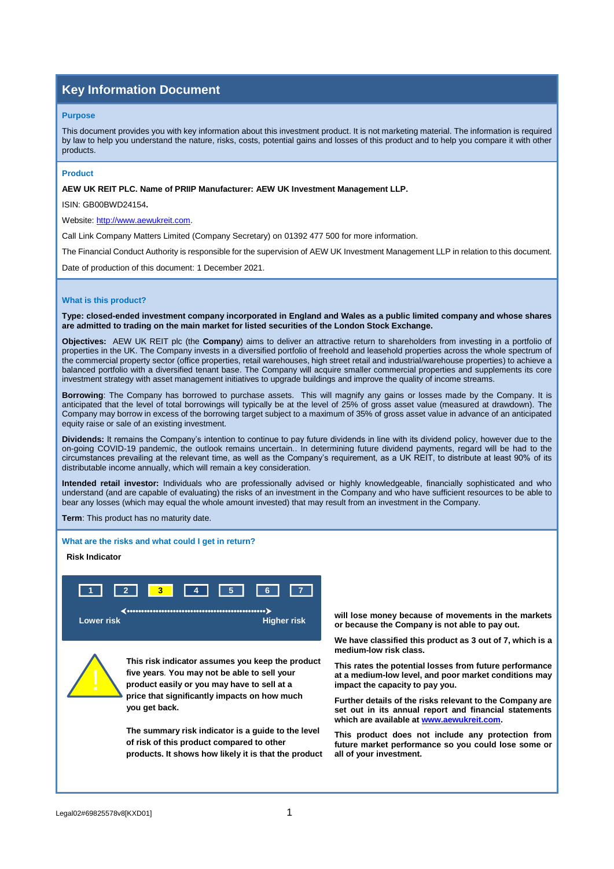# **Key Information Document**

#### **Purpose**

This document provides you with key information about this investment product. It is not marketing material. The information is required by law to help you understand the nature, risks, costs, potential gains and losses of this product and to help you compare it with other products.

## **Product**

**AEW UK REIT PLC. Name of PRIIP Manufacturer: AEW UK Investment Management LLP.**

ISIN: GB00BWD24154**.** 

Website[: http://www.aewukreit.com.](http://www.aewukreit.com/)

Call Link Company Matters Limited (Company Secretary) on 01392 477 500 for more information.

The Financial Conduct Authority is responsible for the supervision of AEW UK Investment Management LLP in relation to this document.

Date of production of this document: 1 December 2021.

## **What is this product?**

**Type: closed-ended investment company incorporated in England and Wales as a public limited company and whose shares are admitted to trading on the main market for listed securities of the London Stock Exchange.**

**Objectives:** AEW UK REIT plc (the **Company**) aims to deliver an attractive return to shareholders from investing in a portfolio of properties in the UK. The Company invests in a diversified portfolio of freehold and leasehold properties across the whole spectrum of the commercial property sector (office properties, retail warehouses, high street retail and industrial/warehouse properties) to achieve a balanced portfolio with a diversified tenant base. The Company will acquire smaller commercial properties and supplements its core investment strategy with asset management initiatives to upgrade buildings and improve the quality of income streams.

**Borrowing**: The Company has borrowed to purchase assets. This will magnify any gains or losses made by the Company. It is anticipated that the level of total borrowings will typically be at the level of 25% of gross asset value (measured at drawdown). The Company may borrow in excess of the borrowing target subject to a maximum of 35% of gross asset value in advance of an anticipated equity raise or sale of an existing investment.

**Dividends:** It remains the Company's intention to continue to pay future dividends in line with its dividend policy, however due to the on-going COVID-19 pandemic, the outlook remains uncertain.. In determining future dividend payments, regard will be had to the circumstances prevailing at the relevant time, as well as the Company's requirement, as a UK REIT, to distribute at least 90% of its distributable income annually, which will remain a key consideration.

**Intended retail investor:** Individuals who are professionally advised or highly knowledgeable, financially sophisticated and who understand (and are capable of evaluating) the risks of an investment in the Company and who have sufficient resources to be able to bear any losses (which may equal the whole amount invested) that may result from an investment in the Company.

**Term**: This product has no maturity date.

**What are the risks and what could I get in return?**

## **0Risk Indicator**



!

 **This risk indicator assumes you keep the product five years***.* **You may not be able to sell your product easily or you may have to sell at a price that significantly impacts on how much you get back.** 

 **The summary risk indicator is a guide to the level of risk of this product compared to other products. It shows how likely it is that the product**

**will lose money because of movements in the markets or because the Company is not able to pay out.** 

**We have classified this product as 3 out of 7, which is a medium-low risk class.** 

**This rates the potential losses from future performance at a medium-low level, and poor market conditions may impact the capacity to pay you.** 

**Further details of the risks relevant to the Company are set out in its annual report and financial statements which are available at [www.aewukreit.com.](http://www.aewukreit.com/)** 

**This product does not include any protection from future market performance so you could lose some or all of your investment.**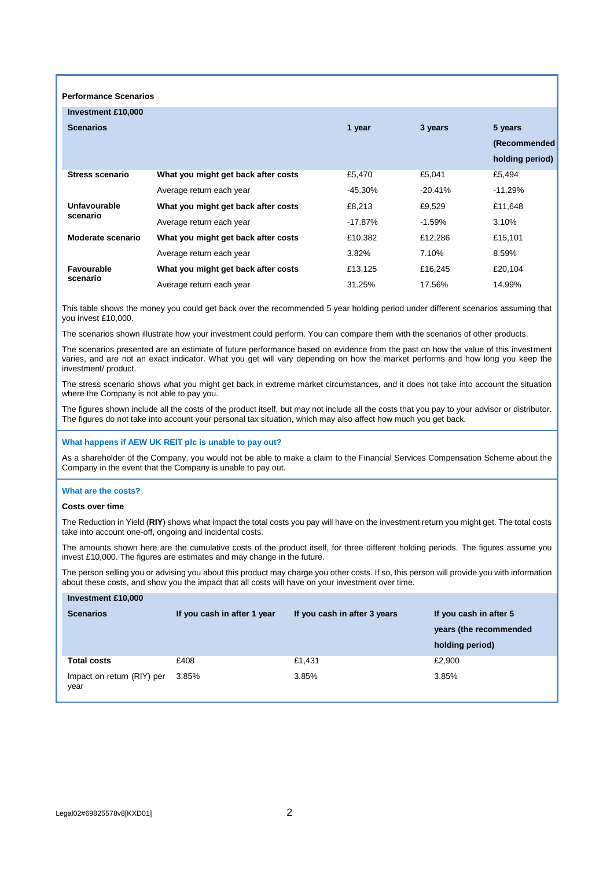| <b>Performance Scenarios</b>  |                                     |           |           |                 |  |  |  |
|-------------------------------|-------------------------------------|-----------|-----------|-----------------|--|--|--|
| Investment £10,000            |                                     |           |           |                 |  |  |  |
| <b>Scenarios</b>              |                                     | 1 year    | 3 years   | 5 years         |  |  |  |
|                               |                                     |           |           | (Recommended    |  |  |  |
|                               |                                     |           |           | holding period) |  |  |  |
| <b>Stress scenario</b>        | What you might get back after costs | £5,470    | £5,041    | £5,494          |  |  |  |
|                               | Average return each year            | $-45.30%$ | $-20.41%$ | $-11.29%$       |  |  |  |
| Unfavourable<br>scenario      | What you might get back after costs | £8,213    | £9,529    | £11,648         |  |  |  |
|                               | Average return each year            | $-17.87%$ | $-1.59%$  | 3.10%           |  |  |  |
| Moderate scenario             | What you might get back after costs | £10,382   | £12,286   | £15,101         |  |  |  |
|                               | Average return each year            | 3.82%     | 7.10%     | 8.59%           |  |  |  |
| <b>Favourable</b><br>scenario | What you might get back after costs | £13,125   | £16,245   | £20,104         |  |  |  |
|                               | Average return each year            | 31.25%    | 17.56%    | 14.99%          |  |  |  |

This table shows the money you could get back over the recommended 5 year holding period under different scenarios assuming that you invest £10,000.

The scenarios shown illustrate how your investment could perform. You can compare them with the scenarios of other products.

The scenarios presented are an estimate of future performance based on evidence from the past on how the value of this investment varies, and are not an exact indicator. What you get will vary depending on how the market performs and how long you keep the investment/ product.

The stress scenario shows what you might get back in extreme market circumstances, and it does not take into account the situation where the Company is not able to pay you.

The figures shown include all the costs of the product itself, but may not include all the costs that you pay to your advisor or distributor. The figures do not take into account your personal tax situation, which may also affect how much you get back.

#### **What happens if AEW UK REIT plc is unable to pay out?**

As a shareholder of the Company, you would not be able to make a claim to the Financial Services Compensation Scheme about the Company in the event that the Company is unable to pay out.

### **What are the costs?**

#### **Costs over time**

The Reduction in Yield (**RIY**) shows what impact the total costs you pay will have on the investment return you might get. The total costs take into account one-off, ongoing and incidental costs.

The amounts shown here are the cumulative costs of the product itself, for three different holding periods. The figures assume you invest £10,000. The figures are estimates and may change in the future.

The person selling you or advising you about this product may charge you other costs. If so, this person will provide you with information about these costs, and show you the impact that all costs will have on your investment over time.

| Investment £10,000                 |                             |                              |                        |
|------------------------------------|-----------------------------|------------------------------|------------------------|
| <b>Scenarios</b>                   | If you cash in after 1 year | If you cash in after 3 years | If you cash in after 5 |
|                                    |                             |                              | years (the recommended |
|                                    |                             |                              | holding period)        |
| <b>Total costs</b>                 | £408                        | £1.431                       | £2,900                 |
| Impact on return (RIY) per<br>year | 3.85%                       | 3.85%                        | 3.85%                  |